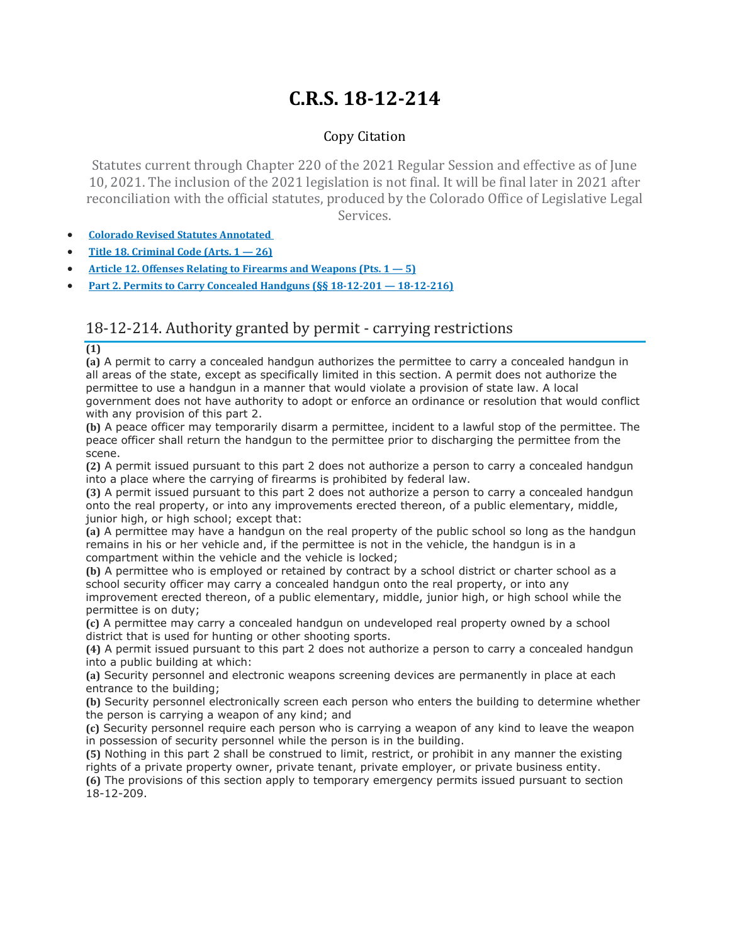# **C.R.S. 18-12-214**

## Copy Citation

Statutes current through Chapter 220 of the 2021 Regular Session and effective as of June 10, 2021. The inclusion of the 2021 legislation is not final. It will be final later in 2021 after reconciliation with the official statutes, produced by the Colorado Office of Legislative Legal Services.

- **Colorado Revised Statutes [Annotated](https://advance.lexis.com/documentpage/?pdmfid=1000516&crid=a1742fbe-858c-4969-b348-29275b717c18&pdistocdocslideraccess=true&config=014FJAAyNGJkY2Y4Zi1mNjgyLTRkN2YtYmE4OS03NTYzNzYzOTg0OGEKAFBvZENhdGFsb2d592qv2Kywlf8caKqYROP5&pddocfullpath=%2Fshared%2Fdocument%2Fstatutes-legislation%2Furn%3AcontentItem%3A61P5-WSW1-DYDC-J3D9-00008-00&pdcomponentid=234177&pdtocnodeidentifier=AASAAWAACAAO&ecomp=sssdkkk&prid=2181f2e7-c572-43d4-8cf7-34043814a34a)**
- **Title 18. [Criminal](https://advance.lexis.com/documentpage/?pdmfid=1000516&crid=a1742fbe-858c-4969-b348-29275b717c18&pdistocdocslideraccess=true&config=014FJAAyNGJkY2Y4Zi1mNjgyLTRkN2YtYmE4OS03NTYzNzYzOTg0OGEKAFBvZENhdGFsb2d592qv2Kywlf8caKqYROP5&pddocfullpath=%2Fshared%2Fdocument%2Fstatutes-legislation%2Furn%3AcontentItem%3A61P5-WSW1-DYDC-J3D9-00008-00&pdcomponentid=234177&pdtocnodeidentifier=AASAAWAACAAO&ecomp=sssdkkk&prid=2181f2e7-c572-43d4-8cf7-34043814a34a) Code (Arts. 1 — 26)**
- **Article 12. Offenses Relating to Firearms and [Weapons](https://advance.lexis.com/documentpage/?pdmfid=1000516&crid=a1742fbe-858c-4969-b348-29275b717c18&pdistocdocslideraccess=true&config=014FJAAyNGJkY2Y4Zi1mNjgyLTRkN2YtYmE4OS03NTYzNzYzOTg0OGEKAFBvZENhdGFsb2d592qv2Kywlf8caKqYROP5&pddocfullpath=%2Fshared%2Fdocument%2Fstatutes-legislation%2Furn%3AcontentItem%3A61P5-WSW1-DYDC-J3D9-00008-00&pdcomponentid=234177&pdtocnodeidentifier=AASAAWAACAAO&ecomp=sssdkkk&prid=2181f2e7-c572-43d4-8cf7-34043814a34a) (Pts. 1 — 5)**
- **Part 2. Permits to Carry Concealed Handguns (§§ 18-12-201 — [18-12-216\)](https://advance.lexis.com/documentpage/?pdmfid=1000516&crid=a1742fbe-858c-4969-b348-29275b717c18&pdistocdocslideraccess=true&config=014FJAAyNGJkY2Y4Zi1mNjgyLTRkN2YtYmE4OS03NTYzNzYzOTg0OGEKAFBvZENhdGFsb2d592qv2Kywlf8caKqYROP5&pddocfullpath=%2Fshared%2Fdocument%2Fstatutes-legislation%2Furn%3AcontentItem%3A61P5-WSW1-DYDC-J3D9-00008-00&pdcomponentid=234177&pdtocnodeidentifier=AASAAWAACAAO&ecomp=sssdkkk&prid=2181f2e7-c572-43d4-8cf7-34043814a34a)**

# 18-12-214. Authority granted by permit - carrying restrictions

**(1)**

**(a)** A permit to carry a concealed handgun authorizes the permittee to carry a concealed handgun in all areas of the state, except as specifically limited in this section. A permit does not authorize the permittee to use a handgun in a manner that would violate a provision of state law. A local government does not have authority to adopt or enforce an ordinance or resolution that would conflict with any provision of this part 2.

**(b)** A peace officer may temporarily disarm a permittee, incident to a lawful stop of the permittee. The peace officer shall return the handgun to the permittee prior to discharging the permittee from the scene.

**(2)** A permit issued pursuant to this part 2 does not authorize a person to carry a concealed handgun into a place where the carrying of firearms is prohibited by federal law.

**(3)** A permit issued pursuant to this part 2 does not authorize a person to carry a concealed handgun onto the real property, or into any improvements erected thereon, of a public elementary, middle, junior high, or high school; except that:

**(a)** A permittee may have a handgun on the real property of the public school so long as the handgun remains in his or her vehicle and, if the permittee is not in the vehicle, the handgun is in a compartment within the vehicle and the vehicle is locked;

**(b)** A permittee who is employed or retained by contract by a school district or charter school as a school security officer may carry a concealed handgun onto the real property, or into any improvement erected thereon, of a public elementary, middle, junior high, or high school while the permittee is on duty;

**(c)** A permittee may carry a concealed handgun on undeveloped real property owned by a school district that is used for hunting or other shooting sports.

**(4)** A permit issued pursuant to this part 2 does not authorize a person to carry a concealed handgun into a public building at which:

**(a)** Security personnel and electronic weapons screening devices are permanently in place at each entrance to the building;

**(b)** Security personnel electronically screen each person who enters the building to determine whether the person is carrying a weapon of any kind; and

**(c)** Security personnel require each person who is carrying a weapon of any kind to leave the weapon in possession of security personnel while the person is in the building.

**(5)** Nothing in this part 2 shall be construed to limit, restrict, or prohibit in any manner the existing rights of a private property owner, private tenant, private employer, or private business entity.

**(6)** The provisions of this section apply to temporary emergency permits issued pursuant to section 18-12-209.